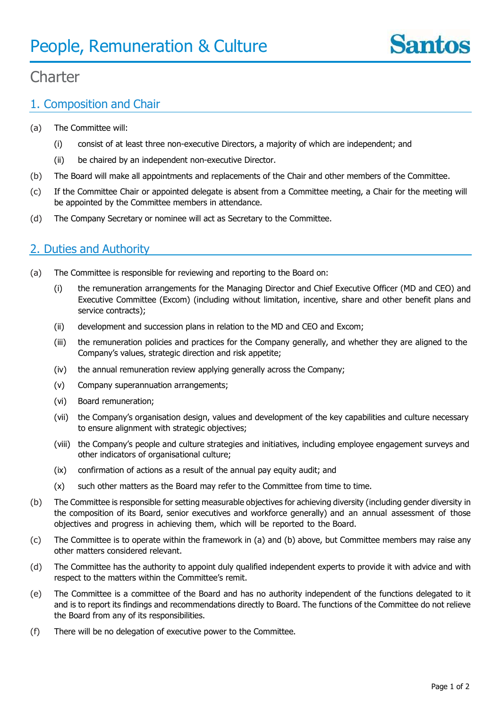

# $Chev$ **Charter**

# 1. Composition and Chair

- (a) The Committee will:
	- (i) consist of at least three non-executive Directors, a majority of which are independent; and
	- (ii) be chaired by an independent non-executive Director.
- (b) The Board will make all appointments and replacements of the Chair and other members of the Committee.
- (c) If the Committee Chair or appointed delegate is absent from a Committee meeting, a Chair for the meeting will be appointed by the Committee members in attendance.
- (d) The Company Secretary or nominee will act as Secretary to the Committee.

#### 2. Duties and Authority

- (a) The Committee is responsible for reviewing and reporting to the Board on:
	- (i) the remuneration arrangements for the Managing Director and Chief Executive Officer (MD and CEO) and Executive Committee (Excom) (including without limitation, incentive, share and other benefit plans and service contracts);
	- (ii) development and succession plans in relation to the MD and CEO and Excom;
	- (iii) the remuneration policies and practices for the Company generally, and whether they are aligned to the Company's values, strategic direction and risk appetite;
	- (iv) the annual remuneration review applying generally across the Company;
	- (v) Company superannuation arrangements;
	- (vi) Board remuneration;
	- (vii) the Company's organisation design, values and development of the key capabilities and culture necessary to ensure alignment with strategic objectives;
	- (viii) the Company's people and culture strategies and initiatives, including employee engagement surveys and other indicators of organisational culture;
	- (ix) confirmation of actions as a result of the annual pay equity audit; and
	- (x) such other matters as the Board may refer to the Committee from time to time.
- (b) The Committee is responsible for setting measurable objectives for achieving diversity (including gender diversity in the composition of its Board, senior executives and workforce generally) and an annual assessment of those objectives and progress in achieving them, which will be reported to the Board.
- (c) The Committee is to operate within the framework in (a) and (b) above, but Committee members may raise any other matters considered relevant.
- (d) The Committee has the authority to appoint duly qualified independent experts to provide it with advice and with respect to the matters within the Committee's remit.
- (e) The Committee is a committee of the Board and has no authority independent of the functions delegated to it and is to report its findings and recommendations directly to Board. The functions of the Committee do not relieve the Board from any of its responsibilities.
- (f) There will be no delegation of executive power to the Committee.